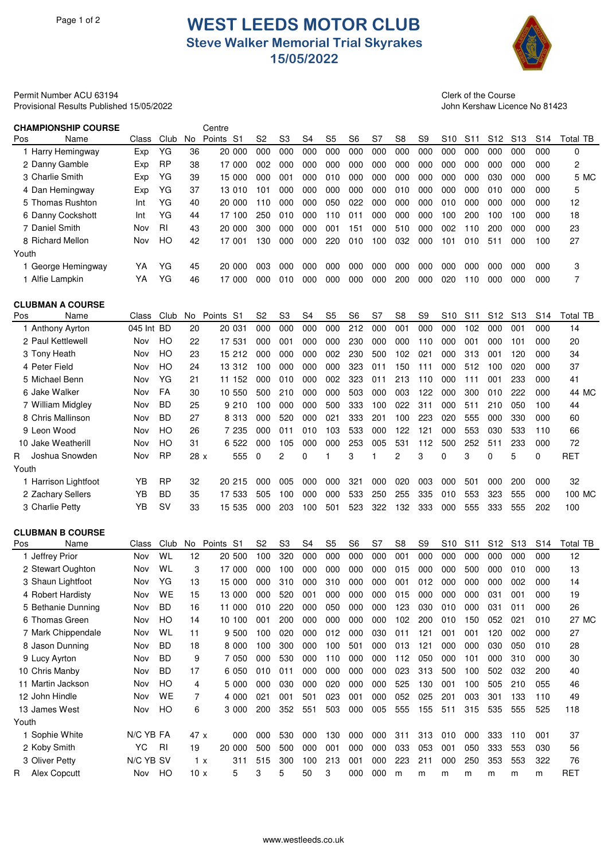## Page 1 of 2 **WEST LEEDS MOTOR CLUB Steve Walker Memorial Trial Skyrakes 15/05/2022**



Permit Number ACU 63194 Clerk of the Course Provisional Results Published 15/05/2022 John Kershaw Licence No 81423

| <b>CHAMPIONSHIP COURSE</b> |            |           |      | Centre                   |                |                |     |                |                |     |                |                |                 |                 |                 |                 |                 |            |
|----------------------------|------------|-----------|------|--------------------------|----------------|----------------|-----|----------------|----------------|-----|----------------|----------------|-----------------|-----------------|-----------------|-----------------|-----------------|------------|
| Pos<br>Name                | Class      | Club      | No   | Points<br>S <sub>1</sub> | S <sub>2</sub> | S <sub>3</sub> | S4  | S <sub>5</sub> | S <sub>6</sub> | S7  | S <sub>8</sub> | S <sub>9</sub> | S <sub>10</sub> | S <sub>11</sub> | S <sub>12</sub> | S <sub>13</sub> | S <sub>14</sub> | Total TB   |
| 1 Harry Hemingway          | Exp        | YG        | 36   | 20 000                   | 000            | 000            | 000 | 000            | 000            | 000 | 000            | 000            | 000             | 000             | 000             | 000             | 000             | 0          |
| 2 Danny Gamble             | Exp        | <b>RP</b> | 38   | 17 000                   | 002            | 000            | 000 | 000            | 000            | 000 | 000            | 000            | 000             | 000             | 000             | 000             | 000             | 2          |
| 3 Charlie Smith            | Exp        | YG        | 39   | 15 000                   | 000            | 001            | 000 | 010            | 000            | 000 | 000            | 000            | 000             | 000             | 030             | 000             | 000             | 5 MC       |
| 4 Dan Hemingway            | Exp        | YG        | 37   | 13 010                   | 101            | 000            | 000 | 000            | 000            | 000 | 010            | 000            | 000             | 000             | 010             | 000             | 000             | 5          |
| 5 Thomas Rushton           | Int        | YG        | 40   | 20 000                   | 110            | 000            | 000 | 050            | 022            | 000 | 000            | 000            | 010             | 000             | 000             | 000             | 000             | 12         |
| 6 Danny Cockshott          | Int        | YG        | 44   | 17 100                   | 250            | 010            | 000 | 110            | 011            | 000 | 000            | 000            | 100             | 200             | 100             | 100             | 000             | 18         |
| 7 Daniel Smith             | Nov        | <b>RI</b> | 43   | 20 000                   | 300            | 000            | 000 | 001            | 151            | 000 | 510            | 000            | 002             | 110             | 200             | 000             | 000             | 23         |
| 8 Richard Mellon           | Nov        | HO        | 42   | 17 001                   | 130            | 000            | 000 | 220            | 010            | 100 | 032            | 000            | 101             | 010             | 511             | 000             | 100             | 27         |
| Youth                      |            |           |      |                          |                |                |     |                |                |     |                |                |                 |                 |                 |                 |                 |            |
| 1 George Hemingway         | YΑ         | YG        | 45   | 20 000                   | 003            | 000            | 000 | 000            | 000            | 000 | 000            | 000            | 000             | 000             | 000             | 000             | 000             | 3          |
| 1 Alfie Lampkin            | YA         | YG        | 46   | 17 000                   | 000            | 010            | 000 | 000            | 000            | 000 | 200            | 000            | 020             | 110             | 000             | 000             | 000             | 7          |
| <b>CLUBMAN A COURSE</b>    |            |           |      |                          |                |                |     |                |                |     |                |                |                 |                 |                 |                 |                 |            |
| Pos<br>Name                | Class      | Club      | No.  | Points S1                | S2             | S3             | S4  | S5             | S6             | S7  | S8             | S9             | S10             | S <sub>11</sub> | S <sub>12</sub> | S <sub>13</sub> | S14             | Total TB   |
| 1 Anthony Ayrton           | 045 Int BD |           | 20   | 20 031                   | 000            | 000            | 000 | 000            | 212            | 000 | 001            | 000            | 000             | 102             | 000             | 001             | 000             | 14         |
| 2 Paul Kettlewell          | Nov        | HO        | 22   | 17 531                   | 000            | 001            | 000 | 000            | 230            | 000 | 000            | 110            | 000             | 001             | 000             | 101             | 000             | 20         |
| 3 Tony Heath               | Nov        | HO        | 23   | 15 212                   | 000            | 000            | 000 | 002            | 230            | 500 | 102            | 021            | 000             | 313             | 001             | 120             | 000             | 34         |
| 4 Peter Field              | Nov        | HО        | 24   | 13 312                   | 100            | 000            | 000 | 000            | 323            | 011 | 150            | 111            | 000             | 512             | 100             | 020             | 000             | 37         |
| 5 Michael Benn             | Nov        | YG        | 21   | 11 152                   | 000            | 010            | 000 | 002            | 323            | 011 | 213            | 110            | 000             | 111             | 001             | 233             | 000             | 41         |
| 6 Jake Walker              | Nov        | FA        | 30   | 10 550                   | 500            | 210            | 000 | 000            | 503            | 000 | 003            | 122            | 000             | 300             | 010             | 222             | 000             | 44 MC      |
| 7 William Midgley          | Nov        | <b>BD</b> | 25   | 9 210                    | 100            | 000            | 000 | 500            | 333            | 100 | 022            | 311            | 000             | 511             | 210             | 050             | 100             | 44         |
| 8 Chris Mallinson          | Nov        | <b>BD</b> | 27   | 8 313                    | 000            | 520            | 000 | 021            | 333            | 201 | 100            | 223            | 020             | 555             | 000             | 330             | 000             | 60         |
| 9 Leon Wood                | Nov        | HO        | 26   | 7 235                    | 000            | 011            | 010 | 103            | 533            | 000 | 122            | 121            | 000             | 553             | 030             | 533             | 110             | 66         |
| 10 Jake Weatherill         | Nov        | HО        | 31   | 6 522                    | 000            | 105            | 000 | 000            | 253            | 005 | 531            | 112            | 500             | 252             | 511             | 233             | 000             | 72         |
| Joshua Snowden<br>R.       | Nov        | <b>RP</b> | 28x  | 555                      | $\Omega$       | 2              | 0   | 1              | 3              | 1   | 2              | 3              | 0               | 3               | $\Omega$        | 5               | 0               | <b>RET</b> |
| Youth                      |            |           |      |                          |                |                |     |                |                |     |                |                |                 |                 |                 |                 |                 |            |
| 1 Harrison Lightfoot       | YΒ         | <b>RP</b> | 32   | 20 215                   | 000            | 005            | 000 | 000            | 321            | 000 | 020            | 003            | 000             | 501             | 000             | 200             | 000             | 32         |
| 2 Zachary Sellers          | YΒ         | <b>BD</b> | 35   | 17 533                   | 505            | 100            | 000 | 000            | 533            | 250 | 255            | 335            | 010             | 553             | 323             | 555             | 000             | 100 MC     |
| 3 Charlie Petty            | YB         | SV        | 33   | 15 535                   | 000            | 203            | 100 | 501            | 523            | 322 | 132            | 333            | 000             | 555             | 333             | 555             | 202             | 100        |
|                            |            |           |      |                          |                |                |     |                |                |     |                |                |                 |                 |                 |                 |                 |            |
| <b>CLUBMAN B COURSE</b>    |            |           |      |                          |                |                |     |                |                |     |                |                |                 |                 |                 |                 |                 |            |
| Name<br>Pos                | Class      | Club      | No   | Points<br>S1             | S <sub>2</sub> | S <sub>3</sub> | S4  | S <sub>5</sub> | S <sub>6</sub> | S7  | S <sub>8</sub> | S <sub>9</sub> | S <sub>10</sub> | S <sub>11</sub> | S <sub>12</sub> | S <sub>13</sub> | S <sub>14</sub> | Total TB   |
| 1 Jeffrey Prior            | Nov        | WL        | 12   | 20 500                   | 100            | 320            | 000 | 000            | 000            | 000 | 001            | 000            | 000             | 000             | 000             | 000             | 000             | 12         |
| 2 Stewart Oughton          | Nov        | WL        | 3    | 17 000                   | 000            | 100            | 000 | 000            | 000            | 000 | 015            | 000            | 000             | 500             | 000             | 010             | 000             | 13         |
| 3 Shaun Lightfoot          | Nov        | YG        | 13   | 15 000                   | 000            | 310            | 000 | 310            | 000            | 000 | 001            | 012            | 000             | 000             | 000             | 002             | 000             | 14         |
| 4 Robert Hardisty          | Nov        | WE        | 15   | 13 000                   | 000            | 520            | 001 | 000            | 000            | 000 | 015            | 000            | 000             | 000             | 031             | 001             | 000             | 19         |
| 5 Bethanie Dunning         | Nov        | <b>BD</b> | 16   | 11 000                   | 010            | 220            | 000 | 050            | 000            | 000 | 123            | 030            | 010             | 000             | 031             | 011             | 000             | 26         |
| 6 Thomas Green             | Nov        | HO        | 14   | 10 100                   | 001            | 200            | 000 | 000            | 000            | 000 | 102            | 200            | 010             | 150             | 052             | 021             | 010             | 27 MC      |
| 7 Mark Chippendale         | Nov        | WL        | 11   | 9 500                    | 100            | 020            | 000 | 012            | 000            | 030 | 011            | 121            | 001             | 001             | 120             | 002             | 000             | 27         |
| 8 Jason Dunning            | Nov        | <b>BD</b> | 18   | 8 000                    | 100            | 300            | 000 | 100            | 501            | 000 | 013            | 121            | 000             | 000             | 030             | 050             | 010             | 28         |
| 9 Lucy Ayrton              | Nov        | <b>BD</b> | 9    | 7 0 5 0                  | 000            | 530            | 000 | 110            | 000            | 000 | 112            | 050            | 000             | 101             | 000             | 310             | 000             | 30         |
| 10 Chris Manby             | Nov        | <b>BD</b> | 17   | 6 0 5 0                  | 010            | 011            | 000 | 000            | 000            | 000 | 023            | 313            | 500             | 100             | 502             | 032             | 200             | 40         |
| 11 Martin Jackson          | Nov        | HO        | 4    | 5 000                    | 000            | 030            | 000 | 020            | 000            | 000 | 525            | 130            | 001             | 100             | 505             | 210             | 055             | 46         |
| 12 John Hindle             | Nov        | WE        | 7    | 4 000                    | 021            | 001            | 501 | 023            | 001            | 000 | 052            | 025            | 201             | 003             | 301             | 133             | 110             | 49         |
| 13 James West              | Nov        | HO        | 6    | 3 000                    | 200            | 352            | 551 | 503            | 000            | 005 | 555            | 155            | 511             | 315             | 535             | 555             | 525             | 118        |
| Youth                      |            |           |      |                          |                |                |     |                |                |     |                |                |                 |                 |                 |                 |                 |            |
| 1 Sophie White             | N/C YB FA  |           | 47 x | 000                      | 000            | 530            | 000 | 130            | 000            | 000 | 311            | 313            | 010             | 000             | 333             | 110             | 001             | 37         |
| 2 Koby Smith               | YC         | RI        | 19   | 20 000                   | 500            | 500            | 000 | 001            | 000            | 000 | 033            | 053            | 001             | 050             | 333             | 553             | 030             | 56         |
| 3 Oliver Petty             | N/C YB SV  |           | 1 x  | 311                      | 515            | 300            | 100 | 213            | 001            | 000 | 223            | 211            | 000             | 250             | 353             | 553             | 322             | 76         |
| Alex Copcutt<br>R.         | Nov        | HO        | 10x  | 5                        | 3              | 5              | 50  | 3              | 000            | 000 | m              | m              | m               | m               | m               | m               | m               | <b>RET</b> |
|                            |            |           |      |                          |                |                |     |                |                |     |                |                |                 |                 |                 |                 |                 |            |